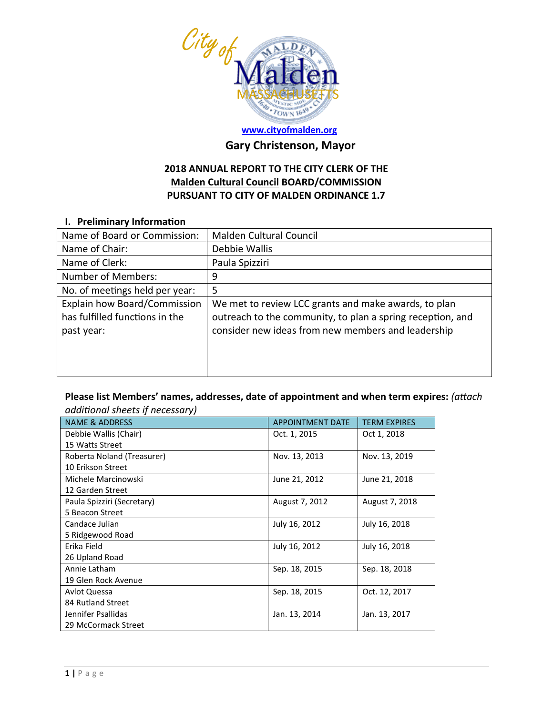

# **[www.cityofmalden.org](http://www.cityofmalden.org/)**

## **Gary Christenson, Mayor**

### **2018 ANNUAL REPORT TO THE CITY CLERK OF THE Malden Cultural Council BOARD/COMMISSION PURSUANT TO CITY OF MALDEN ORDINANCE 1.7**

#### **I. Preliminary Information**

| Name of Board or Commission:                                                 | Malden Cultural Council                                                                                                                                                  |
|------------------------------------------------------------------------------|--------------------------------------------------------------------------------------------------------------------------------------------------------------------------|
| Name of Chair:                                                               | Debbie Wallis                                                                                                                                                            |
| Name of Clerk:                                                               | Paula Spizziri                                                                                                                                                           |
| <b>Number of Members:</b>                                                    | 9                                                                                                                                                                        |
| No. of meetings held per year:                                               | 5                                                                                                                                                                        |
| Explain how Board/Commission<br>has fulfilled functions in the<br>past year: | We met to review LCC grants and make awards, to plan<br>outreach to the community, to plan a spring reception, and<br>consider new ideas from new members and leadership |

### **Please list Members' names, addresses, date of appointment and when term expires:** *(attach additional sheets if necessary)*

| <b>NAME &amp; ADDRESS</b>  | <b>APPOINTMENT DATE</b> | <b>TERM EXPIRES</b> |
|----------------------------|-------------------------|---------------------|
| Debbie Wallis (Chair)      | Oct. 1, 2015            | Oct 1, 2018         |
| 15 Watts Street            |                         |                     |
| Roberta Noland (Treasurer) | Nov. 13, 2013           | Nov. 13, 2019       |
| 10 Erikson Street          |                         |                     |
| Michele Marcinowski        | June 21, 2012           | June 21, 2018       |
| 12 Garden Street           |                         |                     |
| Paula Spizziri (Secretary) | August 7, 2012          | August 7, 2018      |
| 5 Beacon Street            |                         |                     |
| Candace Julian             | July 16, 2012           | July 16, 2018       |
| 5 Ridgewood Road           |                         |                     |
| Erika Field                | July 16, 2012           | July 16, 2018       |
| 26 Upland Road             |                         |                     |
| Annie Latham               | Sep. 18, 2015           | Sep. 18, 2018       |
| 19 Glen Rock Avenue        |                         |                     |
| Avlot Quessa               | Sep. 18, 2015           | Oct. 12, 2017       |
| 84 Rutland Street          |                         |                     |
| Jennifer Psallidas         | Jan. 13, 2014           | Jan. 13, 2017       |
| 29 McCormack Street        |                         |                     |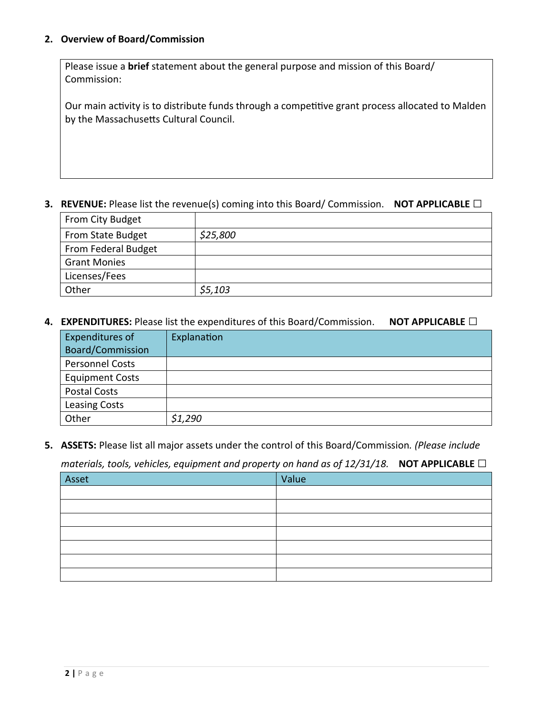#### **2. Overview of Board/Commission**

Please issue a **brief** statement about the general purpose and mission of this Board/ Commission:

Our main activity is to distribute funds through a competitive grant process allocated to Malden by the Massachusetts Cultural Council.

#### **3. REVENUE:** Please list the revenue(s) coming into this Board/ Commission. **NOT APPLICABLE □**

| From City Budget    |          |
|---------------------|----------|
| From State Budget   | \$25,800 |
| From Federal Budget |          |
| <b>Grant Monies</b> |          |
| Licenses/Fees       |          |
| Other               | \$5,103  |

#### **4. EXPENDITURES:** Please list the expenditures of this Board/Commission. **NOT APPLICABLE □**

| Expenditures of        | Explanation |
|------------------------|-------------|
| Board/Commission       |             |
| Personnel Costs        |             |
| <b>Equipment Costs</b> |             |
| <b>Postal Costs</b>    |             |
| <b>Leasing Costs</b>   |             |
| Other                  | \$1,290     |

**5. ASSETS:** Please list all major assets under the control of this Board/Commission*. (Please include* 

*materials, tools, vehicles, equipment and property on hand as of 12/31/18.* **NOT APPLICABLE □**

| Asset | Value |
|-------|-------|
|       |       |
|       |       |
|       |       |
|       |       |
|       |       |
|       |       |
|       |       |